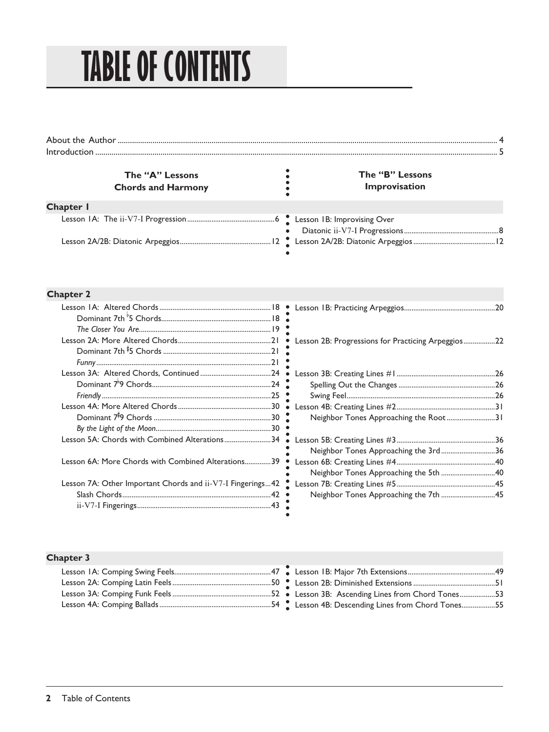## **TABLE OF CONTENTS**

| The "A" Lessons<br><b>Chords and Harmony</b> | The "B" Lessons<br>Improvisation |
|----------------------------------------------|----------------------------------|
| Chapter I                                    |                                  |
|                                              | $\bullet$                        |
|                                              |                                  |

## **Chapter 2**

| Lesson 5A: Chords with Combined Alterations34              |  |
|------------------------------------------------------------|--|
| Lesson 6A: More Chords with Combined Alterations39         |  |
| Lesson 7A: Other Important Chords and ii-V7-I Fingerings42 |  |
|                                                            |  |
|                                                            |  |

|                                                    | 20 |
|----------------------------------------------------|----|
| Lesson 2B: Progressions for Practicing Arpeggios22 |    |
|                                                    |    |
|                                                    |    |
|                                                    |    |
|                                                    |    |
| Neighbor Tones Approaching the Root31              |    |
|                                                    |    |
| Neighbor Tones Approaching the 3rd36               |    |
|                                                    |    |
| Neighbor Tones Approaching the 5th 40              |    |
|                                                    |    |
| Neighbor Tones Approaching the 7th 45              |    |

## **Chapter 3**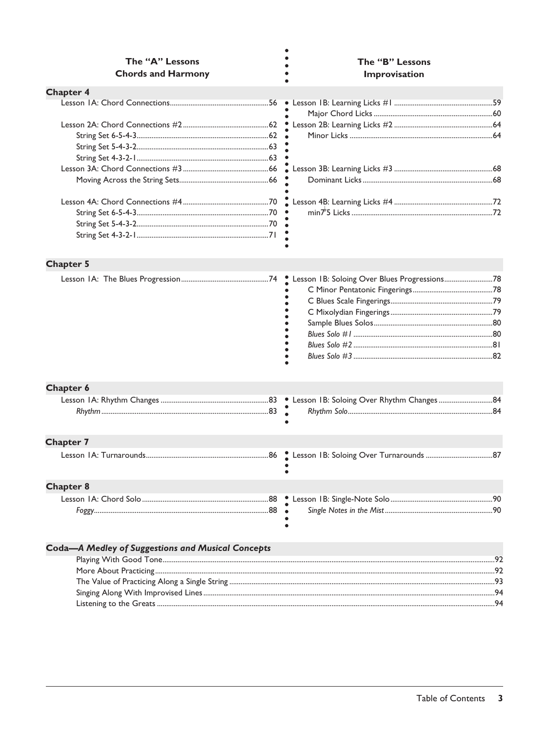| The "A" Lessons<br><b>Chords and Harmony</b>             |         | The "B" Lessons<br>Improvisation             |  |  |  |
|----------------------------------------------------------|---------|----------------------------------------------|--|--|--|
| <b>Chapter 4</b>                                         |         |                                              |  |  |  |
|                                                          |         |                                              |  |  |  |
|                                                          |         |                                              |  |  |  |
|                                                          |         |                                              |  |  |  |
| <b>Chapter 5</b>                                         |         |                                              |  |  |  |
| <b>Chapter 6</b>                                         | $\cdot$ | Lesson IB: Soloing Over Blues Progressions78 |  |  |  |
|                                                          |         |                                              |  |  |  |
|                                                          |         |                                              |  |  |  |
| <b>Chapter 7</b>                                         |         |                                              |  |  |  |
|                                                          |         |                                              |  |  |  |
| <b>Chapter 8</b>                                         |         |                                              |  |  |  |
|                                                          |         |                                              |  |  |  |
| <b>Coda-A Medley of Suggestions and Musical Concepts</b> |         |                                              |  |  |  |
|                                                          |         |                                              |  |  |  |
|                                                          |         |                                              |  |  |  |
|                                                          |         |                                              |  |  |  |
|                                                          |         |                                              |  |  |  |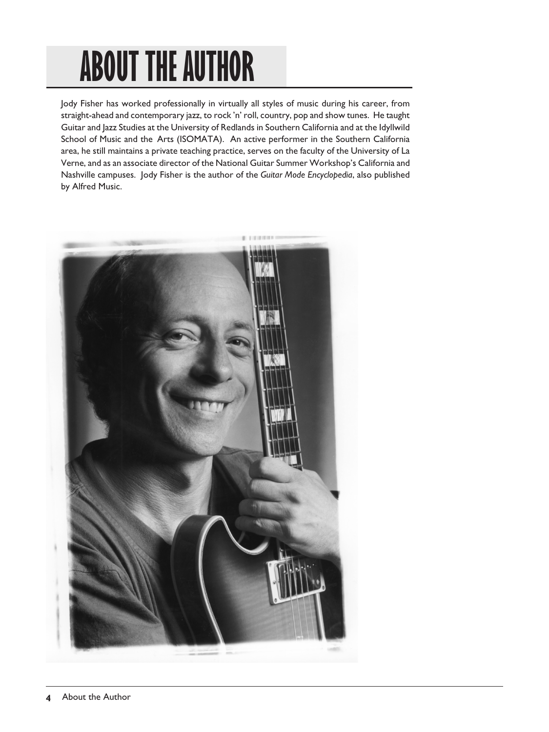## **ABOUT THE AUTHOR**

Jody Fisher has worked professionally in virtually all styles of music during his career, from straight-ahead and contemporary jazz, to rock 'n' roll, country, pop and show tunes. He taught Guitar and Jazz Studies at the University of Redlands in Southern California and at the Idyllwild School of Music and the Arts (ISOMATA). An active performer in the Southern California area, he still maintains a private teaching practice, serves on the faculty of the University of La Verne, and as an associate director of the National Guitar Summer Workshop's California and Nashville campuses. Jody Fisher is the author of the *Guitar Mode Encyclopedia*, also published by Alfred Music.

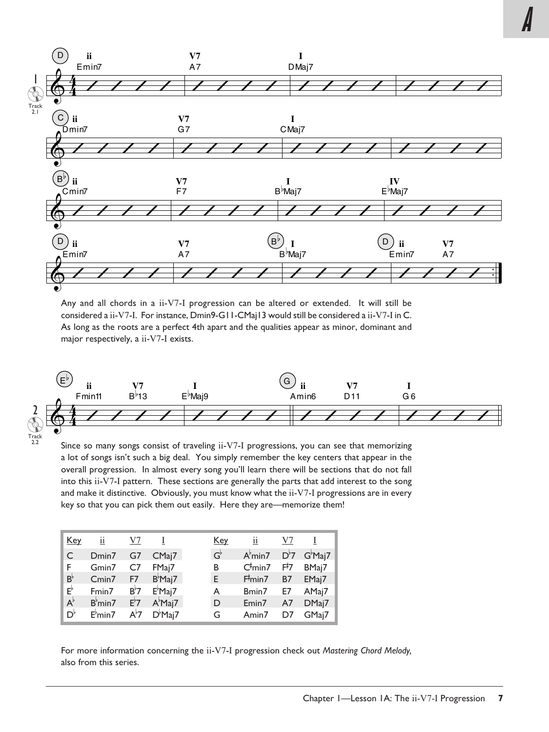

Any and all chords in a ii-V7-I progression can be altered or extended. It will still be considered a ii-V7-I. For instance, Dmin9-G11-CMaj13 would still be considered a ii-V7-I in C. As long as the roots are a perfect 4th apart and the qualities appear as minor, dominant and major respectively, a ii-V7-I exists.



Since so many songs consist of traveling ii-V7-I progressions, you can see that memorizing a lot of songs isn't such a big deal. You simply remember the key centers that appear in the overall progression. In almost every song you'll learn there will be sections that do not fall into this ii-V7-I pattern. These sections are generally the parts that add interest to the song and make it distinctive. Obviously, you must know what the ii-V7-I progressions are in every key so that you can pick them out easily. Here they are—memorize them!

| Key                | $\overline{\mathbf{u}}$ | V7               |                  | <u>Key</u>  | $\overline{\mathbf{u}}$ | V <sub>7</sub> |                  |
|--------------------|-------------------------|------------------|------------------|-------------|-------------------------|----------------|------------------|
| C                  | Dmin7                   | G7               | CMaj7            | $G^{\flat}$ | A <sup>b</sup> min7     | $D^{\flat}7$   | $G^{\flat}$ Maj7 |
| F                  | Gmin7                   | C <sub>7</sub>   | FMaj7            | В           | $C^{\sharp}$ min7       | $F^{\sharp}7$  | BMaj7            |
| $B^{\flat}$        | Cmin7                   | F7               | $B^{\flat}$ Maj7 | E.          | F <sup>†</sup> min7     | <b>B7</b>      | EMaj7            |
| $\mathsf{E}^\flat$ | Fmin7                   | $B^{\flat}7$     | $E^{\flat}$ Maj7 | A           | Bmin7                   | E7             | AMaj7            |
| $A^{\flat}$        | B <sup>b</sup> min7     | $E^{\flat}$ 7    | $A^{\flat}$ Maj7 | D           | Emin7                   | A7             | DMaj7            |
| $D^{\flat}$        | E <sup>b</sup> min7     | A <sup>♭</sup> 7 | $D^{\flat}$ Maj7 | G           | Amin7                   | D7             | GMaj7            |

For more information concerning the ii-V7-I progression check out *Mastering Chord Melody,*  also from this series.

**A**